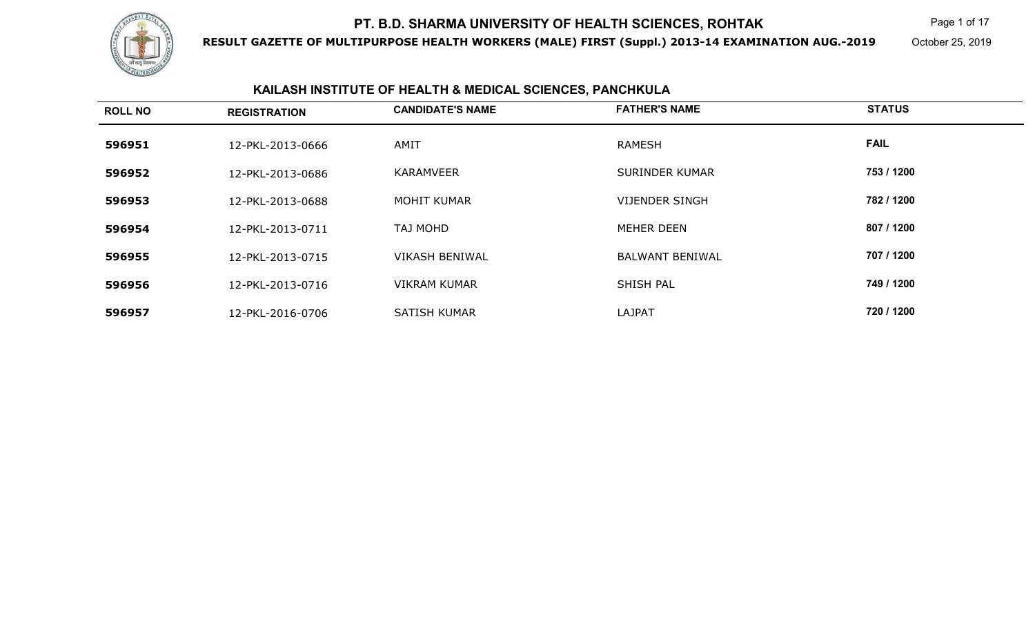

**RESULT GAZETTE OF MULTIPURPOSE HEALTH WORKERS (MALE) FIRST (Suppl.) 2013-14 EXAMINATION AUG.-2019**

Page 1 of 17

October 25, 2019

# **KAILASH INSTITUTE OF HEALTH & MEDICAL SCIENCES, PANCHKULA**

| <b>ROLL NO</b> | <b>REGISTRATION</b> | <b>CANDIDATE'S NAME</b> | <b>FATHER'S NAME</b>   | <b>STATUS</b> |
|----------------|---------------------|-------------------------|------------------------|---------------|
| 596951         | 12-PKL-2013-0666    | AMIT                    | <b>RAMESH</b>          | <b>FAIL</b>   |
| 596952         | 12-PKL-2013-0686    | <b>KARAMVEER</b>        | <b>SURINDER KUMAR</b>  | 753 / 1200    |
| 596953         | 12-PKL-2013-0688    | <b>MOHIT KUMAR</b>      | <b>VIJENDER SINGH</b>  | 782 / 1200    |
| 596954         | 12-PKL-2013-0711    | TAJ MOHD                | MEHER DEEN             | 807 / 1200    |
| 596955         | 12-PKL-2013-0715    | <b>VIKASH BENIWAL</b>   | <b>BALWANT BENIWAL</b> | 707 / 1200    |
| 596956         | 12-PKL-2013-0716    | <b>VIKRAM KUMAR</b>     | SHISH PAL              | 749 / 1200    |
| 596957         | 12-PKL-2016-0706    | <b>SATISH KUMAR</b>     | <b>LAJPAT</b>          | 720 / 1200    |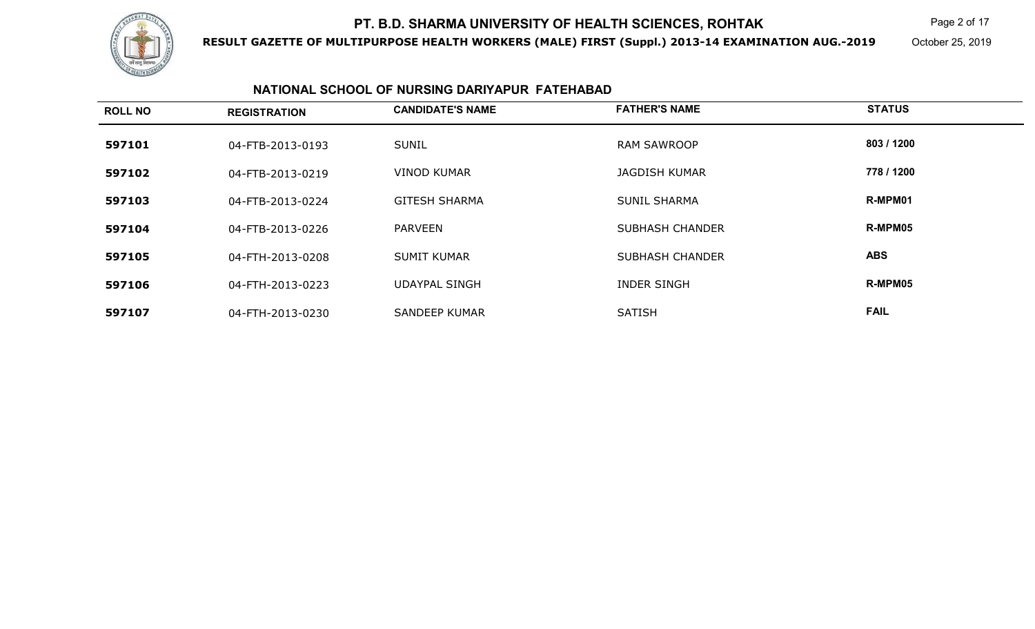

**RESULT GAZETTE OF MULTIPURPOSE HEALTH WORKERS (MALE) FIRST (Suppl.) 2013-14 EXAMINATION AUG.-2019**

Page 2 of 17

October 25, 2019

### **NATIONAL SCHOOL OF NURSING DARIYAPUR FATEHABAD**

| <b>ROLL NO</b> | <b>REGISTRATION</b> | <b>CANDIDATE'S NAME</b> | <b>FATHER'S NAME</b>   | <b>STATUS</b> |
|----------------|---------------------|-------------------------|------------------------|---------------|
| 597101         | 04-FTB-2013-0193    | <b>SUNIL</b>            | <b>RAM SAWROOP</b>     | 803 / 1200    |
| 597102         | 04-FTB-2013-0219    | <b>VINOD KUMAR</b>      | <b>JAGDISH KUMAR</b>   | 778 / 1200    |
| 597103         | 04-FTB-2013-0224    | <b>GITESH SHARMA</b>    | <b>SUNIL SHARMA</b>    | R-MPM01       |
| 597104         | 04-FTB-2013-0226    | <b>PARVEEN</b>          | <b>SUBHASH CHANDER</b> | R-MPM05       |
| 597105         | 04-FTH-2013-0208    | <b>SUMIT KUMAR</b>      | <b>SUBHASH CHANDER</b> | <b>ABS</b>    |
| 597106         | 04-FTH-2013-0223    | <b>UDAYPAL SINGH</b>    | <b>INDER SINGH</b>     | R-MPM05       |
| 597107         | 04-FTH-2013-0230    | SANDEEP KUMAR           | <b>SATISH</b>          | <b>FAIL</b>   |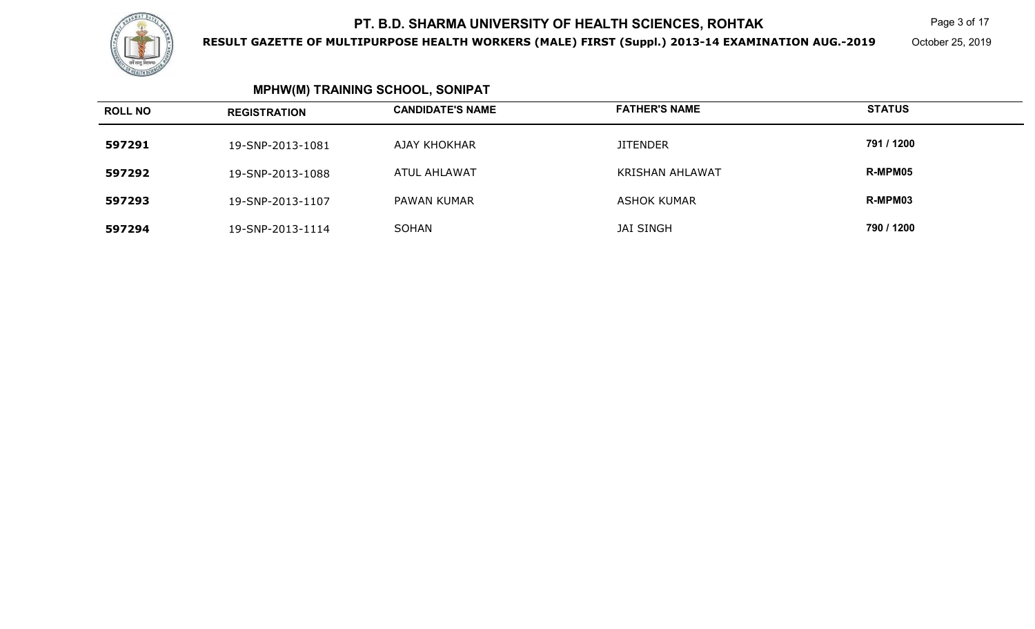

**RESULT GAZETTE OF MULTIPURPOSE HEALTH WORKERS (MALE) FIRST (Suppl.) 2013-14 EXAMINATION AUG.-2019**

 $\mathsf K$  Page 3 of 17

October 25, 2019

| <b>ROLL NO</b> | <b>REGISTRATION</b> | <b>CANDIDATE'S NAME</b> | <b>FATHER'S NAME</b>   | <b>STATUS</b> |
|----------------|---------------------|-------------------------|------------------------|---------------|
| 597291         | 19-SNP-2013-1081    | AJAY KHOKHAR            | <b>JITENDER</b>        | 791 / 1200    |
| 597292         | 19-SNP-2013-1088    | ATUL AHLAWAT            | <b>KRISHAN AHLAWAT</b> | R-MPM05       |
| 597293         | 19-SNP-2013-1107    | PAWAN KUMAR             | <b>ASHOK KUMAR</b>     | R-MPM03       |
| 597294         | 19-SNP-2013-1114    | SOHAN                   | <b>JAI SINGH</b>       | 790 / 1200    |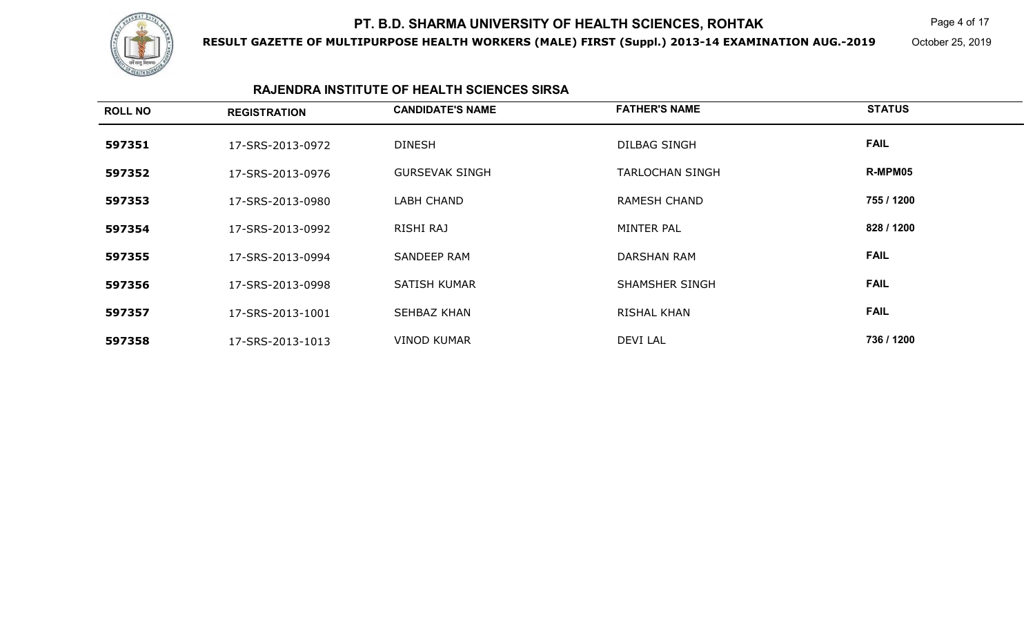

**RESULT GAZETTE OF MULTIPURPOSE HEALTH WORKERS (MALE) FIRST (Suppl.) 2013-14 EXAMINATION AUG.-2019**

 $\mathsf K$  Page 4 of 17

October 25, 2019

### **RAJENDRA INSTITUTE OF HEALTH SCIENCES SIRSA**

| <b>ROLL NO</b> | <b>REGISTRATION</b> | <b>CANDIDATE'S NAME</b> | <b>FATHER'S NAME</b>   | <b>STATUS</b> |
|----------------|---------------------|-------------------------|------------------------|---------------|
| 597351         | 17-SRS-2013-0972    | <b>DINESH</b>           | DILBAG SINGH           | <b>FAIL</b>   |
| 597352         | 17-SRS-2013-0976    | <b>GURSEVAK SINGH</b>   | <b>TARLOCHAN SINGH</b> | R-MPM05       |
| 597353         | 17-SRS-2013-0980    | LABH CHAND              | <b>RAMESH CHAND</b>    | 755 / 1200    |
| 597354         | 17-SRS-2013-0992    | RISHI RAJ               | MINTER PAL             | 828 / 1200    |
| 597355         | 17-SRS-2013-0994    | <b>SANDEEP RAM</b>      | <b>DARSHAN RAM</b>     | <b>FAIL</b>   |
| 597356         | 17-SRS-2013-0998    | <b>SATISH KUMAR</b>     | <b>SHAMSHER SINGH</b>  | <b>FAIL</b>   |
| 597357         | 17-SRS-2013-1001    | SEHBAZ KHAN             | <b>RISHAL KHAN</b>     | <b>FAIL</b>   |
| 597358         | 17-SRS-2013-1013    | <b>VINOD KUMAR</b>      | DEVI LAL               | 736 / 1200    |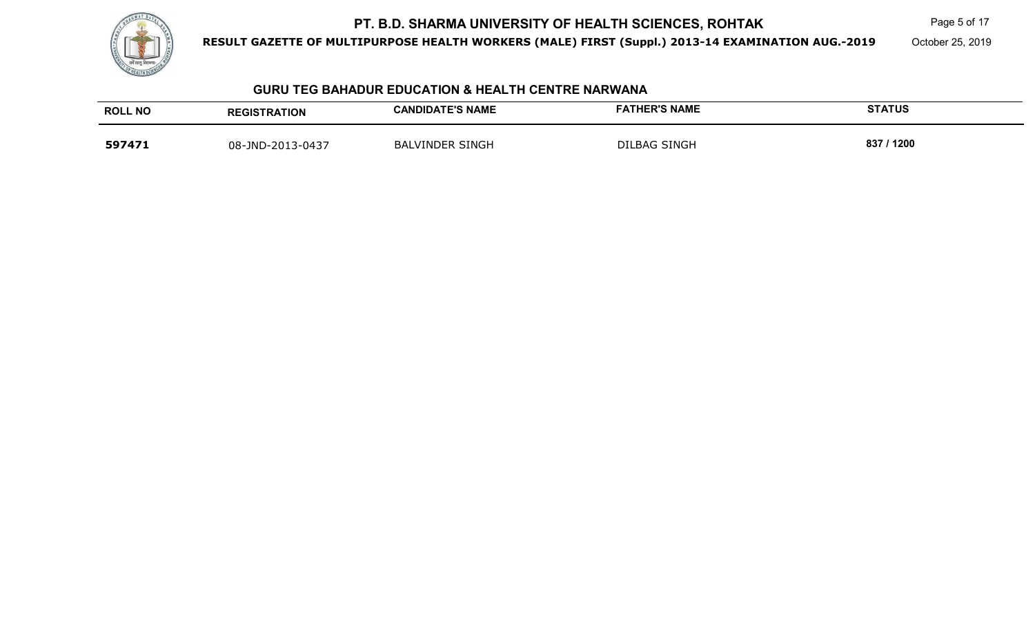

**RESULT GAZETTE OF MULTIPURPOSE HEALTH WORKERS (MALE) FIRST (Suppl.) 2013-14 EXAMINATION AUG.-2019**

Page 5 of 17

October 25, 2019

### **GURU TEG BAHADUR EDUCATION & HEALTH CENTRE NARWANA**

| <b>ROLL NO</b> | <b>REGISTRATION</b> | <b>CANDIDATE'S NAME</b> | <b>FATHER'S NAME</b> | <b>STATUS</b> |
|----------------|---------------------|-------------------------|----------------------|---------------|
| 597471         | 08-JND-2013-0437    | <b>BALVINDER SINGH</b>  | DILBAG SINGH         | 837<br>1200   |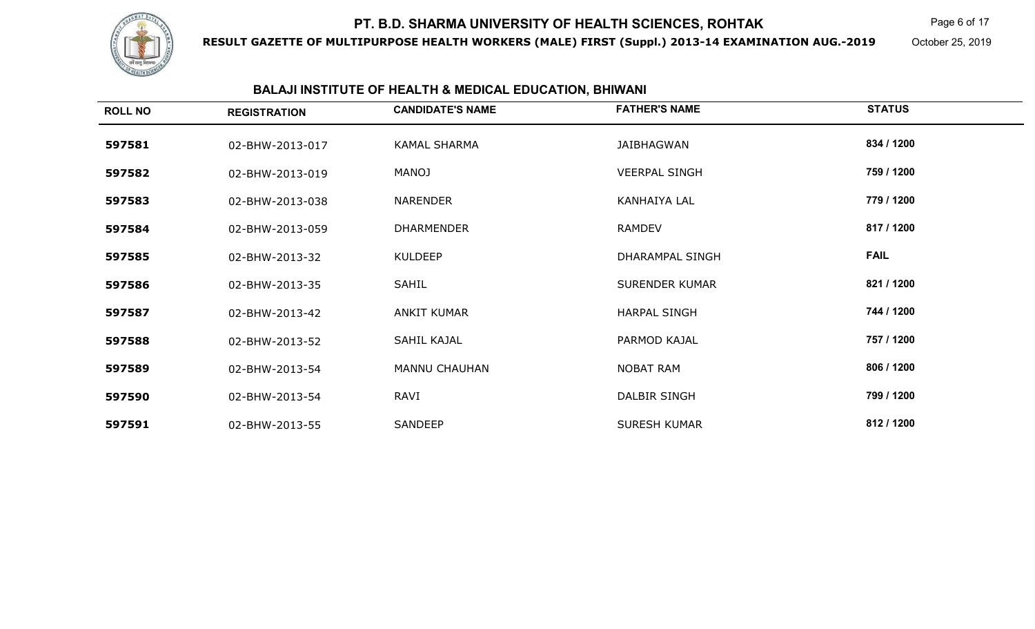

**RESULT GAZETTE OF MULTIPURPOSE HEALTH WORKERS (MALE) FIRST (Suppl.) 2013-14 EXAMINATION AUG.-2019**

Page 6 of 17

October 25, 2019

### **BALAJI INSTITUTE OF HEALTH & MEDICAL EDUCATION, BHIWANI**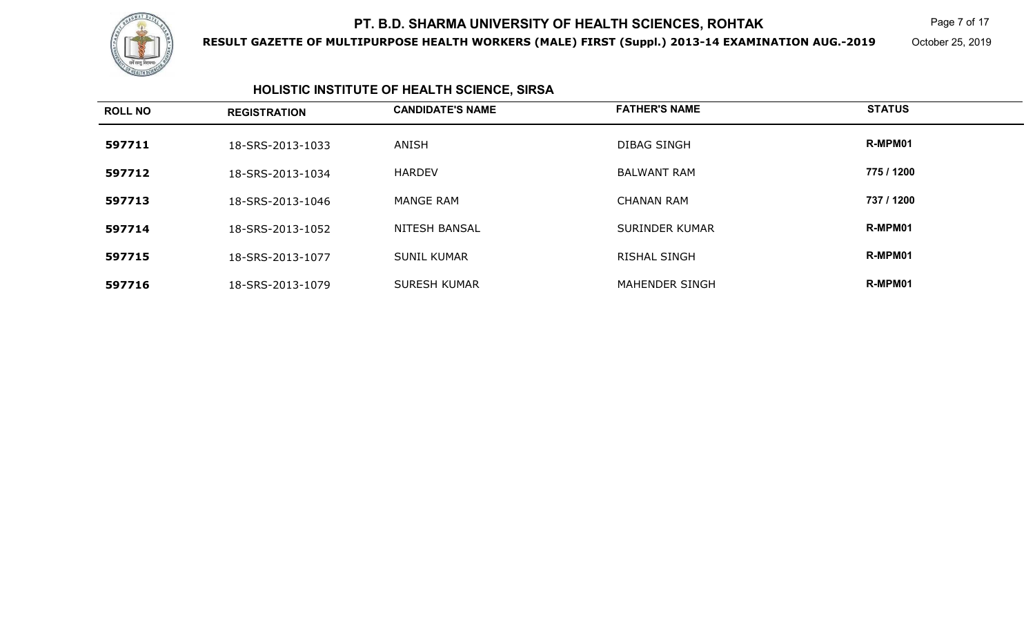

**RESULT GAZETTE OF MULTIPURPOSE HEALTH WORKERS (MALE) FIRST (Suppl.) 2013-14 EXAMINATION AUG.-2019**

 $\mathsf K$  Page 7 of 17

October 25, 2019

# **HOLISTIC INSTITUTE OF HEALTH SCIENCE, SIRSA**

| <b>ROLL NO</b> | <b>REGISTRATION</b> | <b>CANDIDATE'S NAME</b> | <b>FATHER'S NAME</b>  | <b>STATUS</b> |
|----------------|---------------------|-------------------------|-----------------------|---------------|
| 597711         | 18-SRS-2013-1033    | ANISH                   | DIBAG SINGH           | R-MPM01       |
| 597712         | 18-SRS-2013-1034    | <b>HARDEV</b>           | <b>BALWANT RAM</b>    | 775 / 1200    |
| 597713         | 18-SRS-2013-1046    | <b>MANGE RAM</b>        | <b>CHANAN RAM</b>     | 737 / 1200    |
| 597714         | 18-SRS-2013-1052    | <b>NITESH BANSAL</b>    | <b>SURINDER KUMAR</b> | R-MPM01       |
| 597715         | 18-SRS-2013-1077    | <b>SUNIL KUMAR</b>      | <b>RISHAL SINGH</b>   | R-MPM01       |
| 597716         | 18-SRS-2013-1079    | SURESH KUMAR            | MAHENDER SINGH        | R-MPM01       |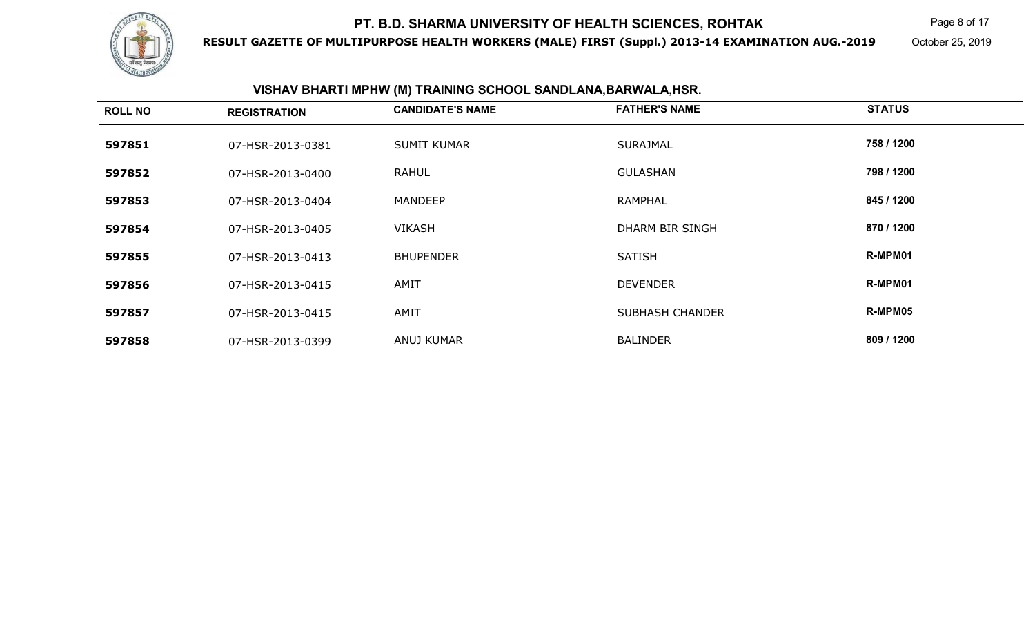

**RESULT GAZETTE OF MULTIPURPOSE HEALTH WORKERS (MALE) FIRST (Suppl.) 2013-14 EXAMINATION AUG.-2019**

Page 8 of 17

October 25, 2019

### **VISHAV BHARTI MPHW (M) TRAINING SCHOOL SANDLANA,BARWALA,HSR.**

| <b>ROLL NO</b> | <b>REGISTRATION</b> | <b>CANDIDATE'S NAME</b> | <b>FATHER'S NAME</b>   | <b>STATUS</b> |
|----------------|---------------------|-------------------------|------------------------|---------------|
| 597851         | 07-HSR-2013-0381    | <b>SUMIT KUMAR</b>      | <b>SURAJMAL</b>        | 758 / 1200    |
| 597852         | 07-HSR-2013-0400    | <b>RAHUL</b>            | <b>GULASHAN</b>        | 798 / 1200    |
| 597853         | 07-HSR-2013-0404    | <b>MANDEEP</b>          | <b>RAMPHAL</b>         | 845 / 1200    |
| 597854         | 07-HSR-2013-0405    | <b>VIKASH</b>           | DHARM BIR SINGH        | 870 / 1200    |
| 597855         | 07-HSR-2013-0413    | <b>BHUPENDER</b>        | <b>SATISH</b>          | R-MPM01       |
| 597856         | 07-HSR-2013-0415    | AMIT                    | <b>DEVENDER</b>        | R-MPM01       |
| 597857         | 07-HSR-2013-0415    | AMIT                    | <b>SUBHASH CHANDER</b> | R-MPM05       |
| 597858         | 07-HSR-2013-0399    | ANUJ KUMAR              | <b>BALINDER</b>        | 809 / 1200    |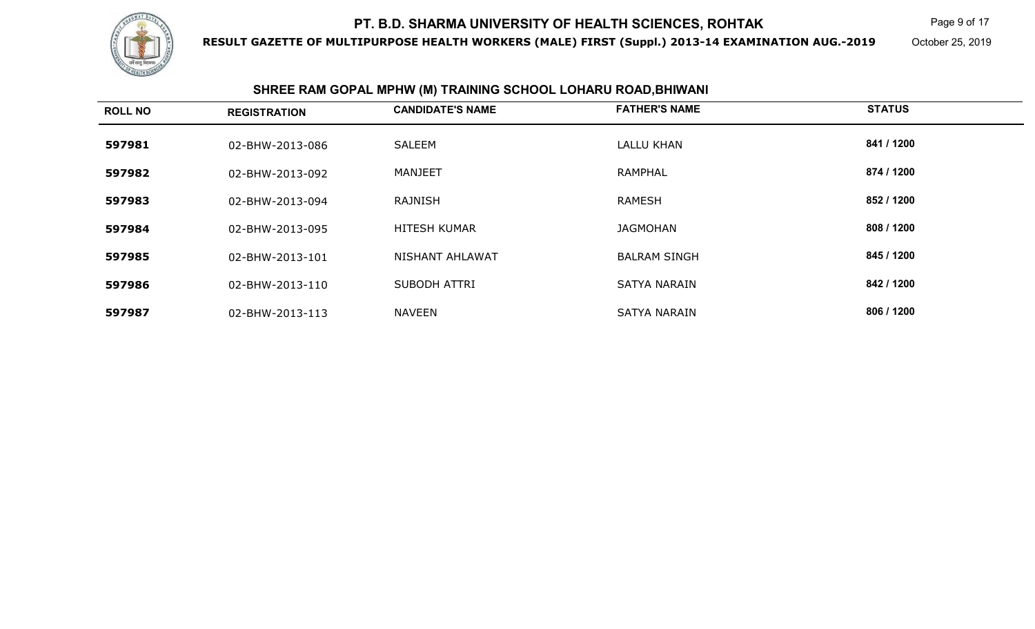

**RESULT GAZETTE OF MULTIPURPOSE HEALTH WORKERS (MALE) FIRST (Suppl.) 2013-14 EXAMINATION AUG.-2019**

Page 9 of 17

October 25, 2019

|                | SHREE RAM GOPAL MPHW (M) TRAINING SCHOOL LOHARU ROAD, BHIWANI |                         |                      |               |  |
|----------------|---------------------------------------------------------------|-------------------------|----------------------|---------------|--|
| <b>ROLL NO</b> | <b>REGISTRATION</b>                                           | <b>CANDIDATE'S NAME</b> | <b>FATHER'S NAME</b> | <b>STATUS</b> |  |
| 597981         | 02-BHW-2013-086                                               | <b>SALEEM</b>           | LALLU KHAN           | 841 / 1200    |  |
| 597982         | 02-BHW-2013-092                                               | <b>MANJEET</b>          | <b>RAMPHAL</b>       | 874 / 1200    |  |
| 597983         | 02-BHW-2013-094                                               | RAJNISH                 | RAMESH               | 852 / 1200    |  |
| 597984         | 02-BHW-2013-095                                               | <b>HITESH KUMAR</b>     | <b>JAGMOHAN</b>      | 808 / 1200    |  |
| 597985         | 02-BHW-2013-101                                               | NISHANT AHLAWAT         | <b>BALRAM SINGH</b>  | 845 / 1200    |  |
| 597986         | 02-BHW-2013-110                                               | <b>SUBODH ATTRI</b>     | <b>SATYA NARAIN</b>  | 842 / 1200    |  |
| 597987         | 02-BHW-2013-113                                               | NAVEEN                  | <b>SATYA NARAIN</b>  | 806 / 1200    |  |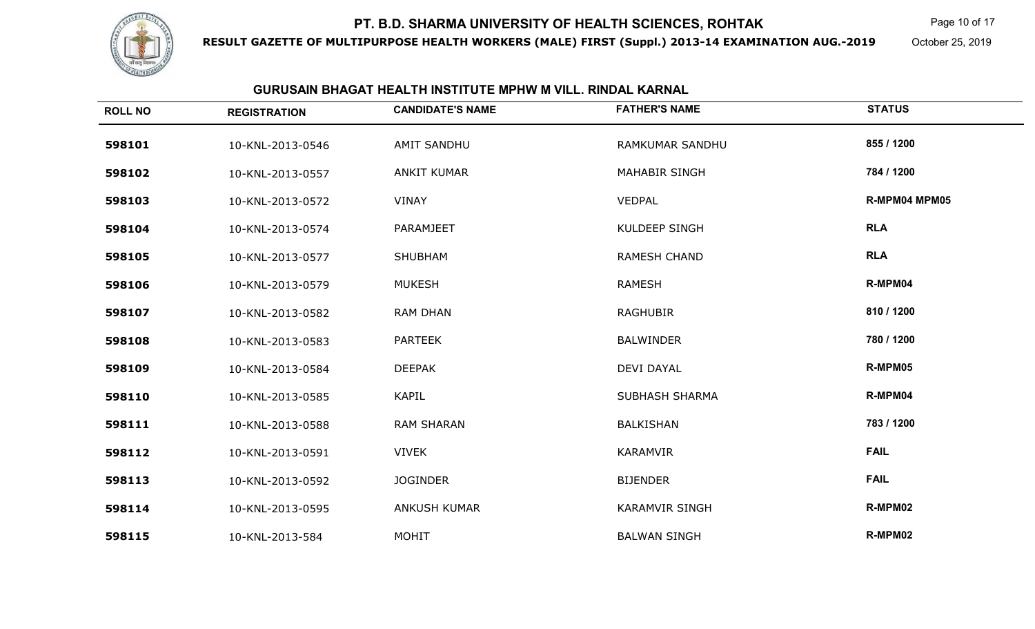

**RESULT GAZETTE OF MULTIPURPOSE HEALTH WORKERS (MALE) FIRST (Suppl.) 2013-14 EXAMINATION AUG.-2019**

Page 10 of 17

October 25, 2019

### **GURUSAIN BHAGAT HEALTH INSTITUTE MPHW M VILL. RINDAL KARNAL**

| <b>ROLL NO</b> | <b>REGISTRATION</b> | <b>CANDIDATE'S NAME</b> | <b>FATHER'S NAME</b>   | <b>STATUS</b> |
|----------------|---------------------|-------------------------|------------------------|---------------|
| 598101         | 10-KNL-2013-0546    | <b>AMIT SANDHU</b>      | <b>RAMKUMAR SANDHU</b> | 855 / 1200    |
| 598102         | 10-KNL-2013-0557    | <b>ANKIT KUMAR</b>      | <b>MAHABIR SINGH</b>   | 784 / 1200    |
| 598103         | 10-KNL-2013-0572    | <b>VINAY</b>            | <b>VEDPAL</b>          | R-MPM04 MPM05 |
| 598104         | 10-KNL-2013-0574    | <b>PARAMJEET</b>        | <b>KULDEEP SINGH</b>   | <b>RLA</b>    |
| 598105         | 10-KNL-2013-0577    | <b>SHUBHAM</b>          | <b>RAMESH CHAND</b>    | <b>RLA</b>    |
| 598106         | 10-KNL-2013-0579    | <b>MUKESH</b>           | <b>RAMESH</b>          | R-MPM04       |
| 598107         | 10-KNL-2013-0582    | <b>RAM DHAN</b>         | <b>RAGHUBIR</b>        | 810 / 1200    |
| 598108         | 10-KNL-2013-0583    | <b>PARTEEK</b>          | <b>BALWINDER</b>       | 780 / 1200    |
| 598109         | 10-KNL-2013-0584    | <b>DEEPAK</b>           | <b>DEVI DAYAL</b>      | R-MPM05       |
| 598110         | 10-KNL-2013-0585    | <b>KAPIL</b>            | <b>SUBHASH SHARMA</b>  | R-MPM04       |
| 598111         | 10-KNL-2013-0588    | <b>RAM SHARAN</b>       | <b>BALKISHAN</b>       | 783 / 1200    |
| 598112         | 10-KNL-2013-0591    | <b>VIVEK</b>            | KARAMVIR               | <b>FAIL</b>   |
| 598113         | 10-KNL-2013-0592    | <b>JOGINDER</b>         | <b>BIJENDER</b>        | <b>FAIL</b>   |
| 598114         | 10-KNL-2013-0595    | <b>ANKUSH KUMAR</b>     | <b>KARAMVIR SINGH</b>  | R-MPM02       |
| 598115         | 10-KNL-2013-584     | MOHIT                   | <b>BALWAN SINGH</b>    | R-MPM02       |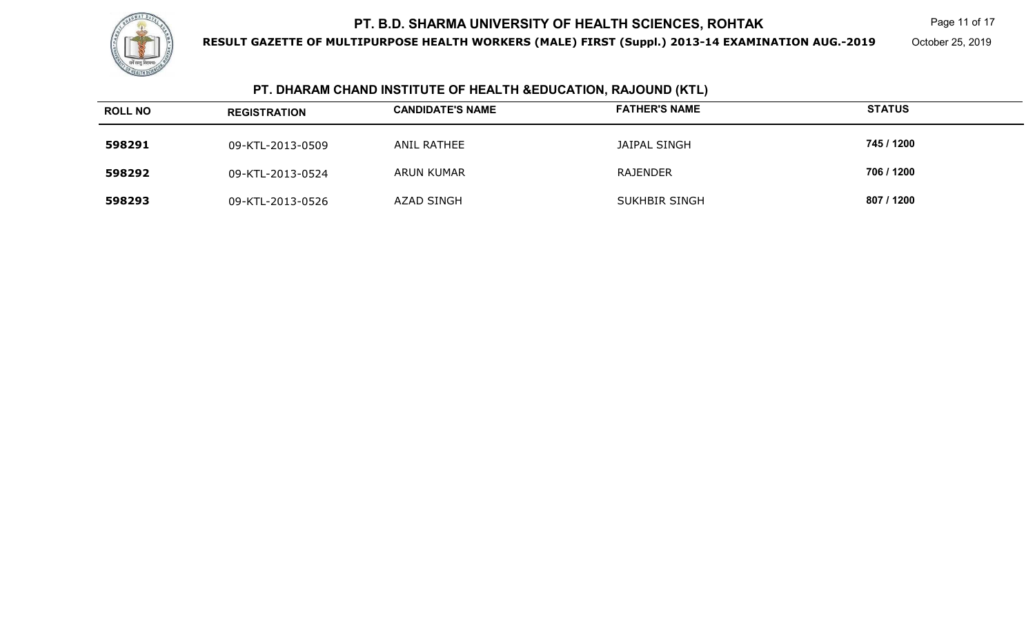

**RESULT GAZETTE OF MULTIPURPOSE HEALTH WORKERS (MALE) FIRST (Suppl.) 2013-14 EXAMINATION AUG.-2019**

October 25, 2019

# **PT. DHARAM CHAND INSTITUTE OF HEALTH &EDUCATION, RAJOUND (KTL)**

| <b>ROLL NO</b> | <b>REGISTRATION</b> | <b>CANDIDATE'S NAME</b> | <b>FATHER'S NAME</b> | <b>STATUS</b> |
|----------------|---------------------|-------------------------|----------------------|---------------|
| 598291         | 09-KTL-2013-0509    | ANIL RATHEE             | JAIPAL SINGH         | 745 / 1200    |
| 598292         | 09-KTL-2013-0524    | ARUN KUMAR              | <b>RAJENDER</b>      | 706 / 1200    |
| 598293         | 09-KTL-2013-0526    | AZAD SINGH              | <b>SUKHBIR SINGH</b> | 807 / 1200    |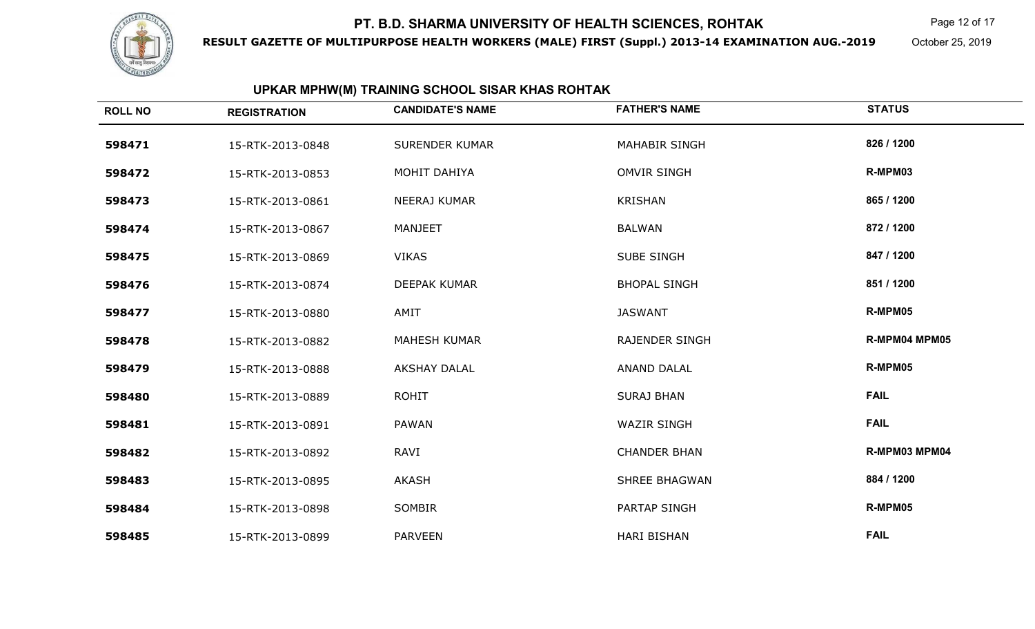

**RESULT GAZETTE OF MULTIPURPOSE HEALTH WORKERS (MALE) FIRST (Suppl.) 2013-14 EXAMINATION AUG.-2019**

Page 12 of 17

October 25, 2019

# **UPKAR MPHW(M) TRAINING SCHOOL SISAR KHAS ROHTAK**

| <b>ROLL NO</b> | <b>REGISTRATION</b> | <b>CANDIDATE'S NAME</b> | <b>FATHER'S NAME</b>  | <b>STATUS</b> |
|----------------|---------------------|-------------------------|-----------------------|---------------|
| 598471         | 15-RTK-2013-0848    | <b>SURENDER KUMAR</b>   | <b>MAHABIR SINGH</b>  | 826 / 1200    |
| 598472         | 15-RTK-2013-0853    | MOHIT DAHIYA            | <b>OMVIR SINGH</b>    | R-MPM03       |
| 598473         | 15-RTK-2013-0861    | <b>NEERAJ KUMAR</b>     | <b>KRISHAN</b>        | 865 / 1200    |
| 598474         | 15-RTK-2013-0867    | <b>MANJEET</b>          | <b>BALWAN</b>         | 872 / 1200    |
| 598475         | 15-RTK-2013-0869    | <b>VIKAS</b>            | <b>SUBE SINGH</b>     | 847 / 1200    |
| 598476         | 15-RTK-2013-0874    | <b>DEEPAK KUMAR</b>     | <b>BHOPAL SINGH</b>   | 851 / 1200    |
| 598477         | 15-RTK-2013-0880    | AMIT                    | <b>JASWANT</b>        | R-MPM05       |
| 598478         | 15-RTK-2013-0882    | <b>MAHESH KUMAR</b>     | <b>RAJENDER SINGH</b> | R-MPM04 MPM05 |
| 598479         | 15-RTK-2013-0888    | <b>AKSHAY DALAL</b>     | <b>ANAND DALAL</b>    | R-MPM05       |
| 598480         | 15-RTK-2013-0889    | <b>ROHIT</b>            | <b>SURAJ BHAN</b>     | <b>FAIL</b>   |
| 598481         | 15-RTK-2013-0891    | <b>PAWAN</b>            | <b>WAZIR SINGH</b>    | <b>FAIL</b>   |
| 598482         | 15-RTK-2013-0892    | <b>RAVI</b>             | <b>CHANDER BHAN</b>   | R-MPM03 MPM04 |
| 598483         | 15-RTK-2013-0895    | <b>AKASH</b>            | <b>SHREE BHAGWAN</b>  | 884 / 1200    |
| 598484         | 15-RTK-2013-0898    | <b>SOMBIR</b>           | <b>PARTAP SINGH</b>   | R-MPM05       |
| 598485         | 15-RTK-2013-0899    | <b>PARVEEN</b>          | <b>HARI BISHAN</b>    | <b>FAIL</b>   |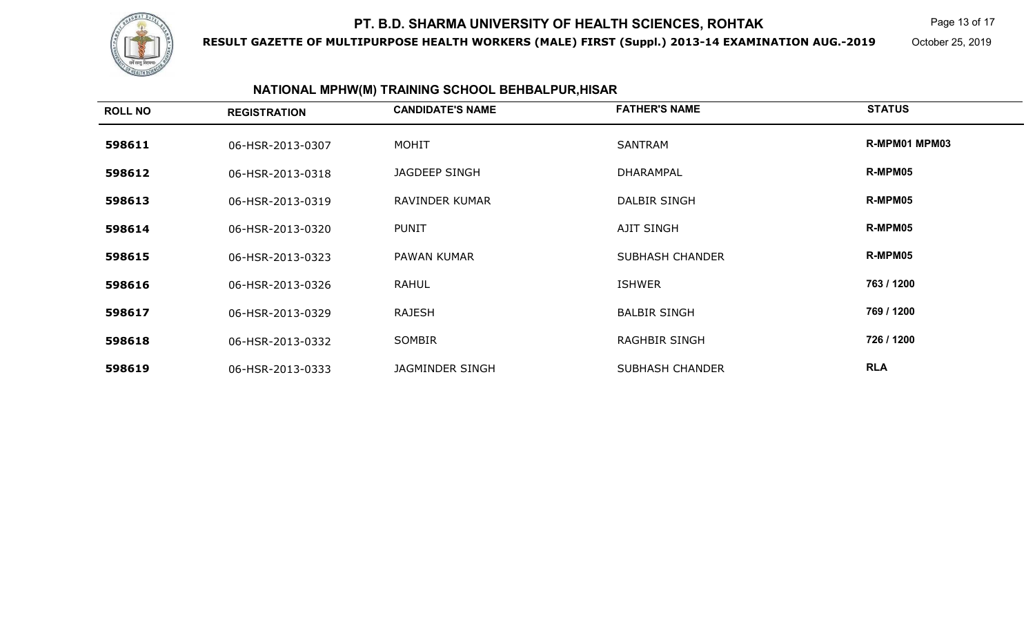

**RESULT GAZETTE OF MULTIPURPOSE HEALTH WORKERS (MALE) FIRST (Suppl.) 2013-14 EXAMINATION AUG.-2019**

Page 13 of 17

October 25, 2019

# **NATIONAL MPHW(M) TRAINING SCHOOL BEHBALPUR,HISAR**

| <b>ROLL NO</b> | <b>REGISTRATION</b> | <b>CANDIDATE'S NAME</b> | <b>FATHER'S NAME</b>   | <b>STATUS</b> |
|----------------|---------------------|-------------------------|------------------------|---------------|
| 598611         | 06-HSR-2013-0307    | <b>MOHIT</b>            | <b>SANTRAM</b>         | R-MPM01 MPM03 |
| 598612         | 06-HSR-2013-0318    | JAGDEEP SINGH           | DHARAMPAL              | R-MPM05       |
| 598613         | 06-HSR-2013-0319    | <b>RAVINDER KUMAR</b>   | DALBIR SINGH           | R-MPM05       |
| 598614         | 06-HSR-2013-0320    | <b>PUNIT</b>            | <b>AJIT SINGH</b>      | R-MPM05       |
| 598615         | 06-HSR-2013-0323    | <b>PAWAN KUMAR</b>      | <b>SUBHASH CHANDER</b> | R-MPM05       |
| 598616         | 06-HSR-2013-0326    | <b>RAHUL</b>            | <b>ISHWER</b>          | 763 / 1200    |
| 598617         | 06-HSR-2013-0329    | <b>RAJESH</b>           | <b>BALBIR SINGH</b>    | 769 / 1200    |
| 598618         | 06-HSR-2013-0332    | <b>SOMBIR</b>           | <b>RAGHBIR SINGH</b>   | 726 / 1200    |
| 598619         | 06-HSR-2013-0333    | <b>JAGMINDER SINGH</b>  | <b>SUBHASH CHANDER</b> | <b>RLA</b>    |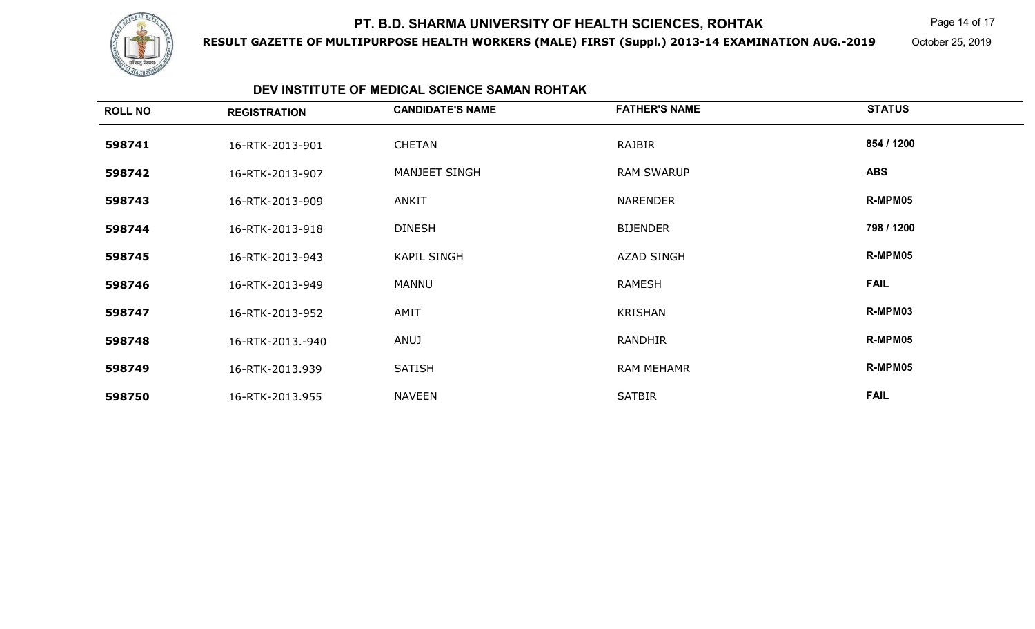

**RESULT GAZETTE OF MULTIPURPOSE HEALTH WORKERS (MALE) FIRST (Suppl.) 2013-14 EXAMINATION AUG.-2019**

Page 14 of 17

October 25, 2019

### **DEV INSTITUTE OF MEDICAL SCIENCE SAMAN ROHTAK**

| <b>ROLL NO</b> | <b>REGISTRATION</b> | <b>CANDIDATE'S NAME</b> | <b>FATHER'S NAME</b> | <b>STATUS</b> |
|----------------|---------------------|-------------------------|----------------------|---------------|
| 598741         | 16-RTK-2013-901     | <b>CHETAN</b>           | RAJBIR               | 854 / 1200    |
| 598742         | 16-RTK-2013-907     | MANJEET SINGH           | <b>RAM SWARUP</b>    | <b>ABS</b>    |
| 598743         | 16-RTK-2013-909     | ANKIT                   | <b>NARENDER</b>      | R-MPM05       |
| 598744         | 16-RTK-2013-918     | <b>DINESH</b>           | <b>BIJENDER</b>      | 798 / 1200    |
| 598745         | 16-RTK-2013-943     | <b>KAPIL SINGH</b>      | <b>AZAD SINGH</b>    | R-MPM05       |
| 598746         | 16-RTK-2013-949     | MANNU                   | <b>RAMESH</b>        | <b>FAIL</b>   |
| 598747         | 16-RTK-2013-952     | AMIT                    | <b>KRISHAN</b>       | R-MPM03       |
| 598748         | 16-RTK-2013.-940    | ANUJ                    | <b>RANDHIR</b>       | R-MPM05       |
| 598749         | 16-RTK-2013.939     | <b>SATISH</b>           | <b>RAM MEHAMR</b>    | R-MPM05       |
| 598750         | 16-RTK-2013.955     | <b>NAVEEN</b>           | <b>SATBIR</b>        | <b>FAIL</b>   |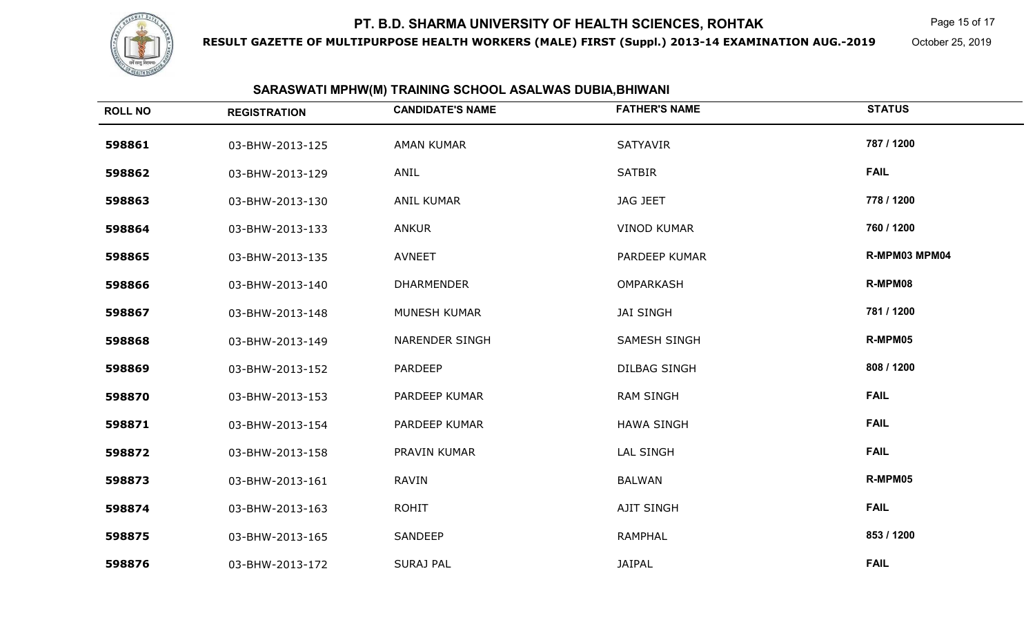

**RESULT GAZETTE OF MULTIPURPOSE HEALTH WORKERS (MALE) FIRST (Suppl.) 2013-14 EXAMINATION AUG.-2019**

Page 15 of 17

October 25, 2019

### **SARASWATI MPHW(M) TRAINING SCHOOL ASALWAS DUBIA,BHIWANI**

| <b>ROLL NO</b> | <b>REGISTRATION</b> | <b>CANDIDATE'S NAME</b> | <b>FATHER'S NAME</b> | <b>STATUS</b> |
|----------------|---------------------|-------------------------|----------------------|---------------|
| 598861         | 03-BHW-2013-125     | <b>AMAN KUMAR</b>       | SATYAVIR             | 787 / 1200    |
| 598862         | 03-BHW-2013-129     | ANIL                    | <b>SATBIR</b>        | <b>FAIL</b>   |
| 598863         | 03-BHW-2013-130     | <b>ANIL KUMAR</b>       | <b>JAG JEET</b>      | 778 / 1200    |
| 598864         | 03-BHW-2013-133     | <b>ANKUR</b>            | <b>VINOD KUMAR</b>   | 760 / 1200    |
| 598865         | 03-BHW-2013-135     | <b>AVNEET</b>           | PARDEEP KUMAR        | R-MPM03 MPM04 |
| 598866         | 03-BHW-2013-140     | <b>DHARMENDER</b>       | <b>OMPARKASH</b>     | R-MPM08       |
| 598867         | 03-BHW-2013-148     | MUNESH KUMAR            | <b>JAI SINGH</b>     | 781 / 1200    |
| 598868         | 03-BHW-2013-149     | NARENDER SINGH          | <b>SAMESH SINGH</b>  | R-MPM05       |
| 598869         | 03-BHW-2013-152     | <b>PARDEEP</b>          | <b>DILBAG SINGH</b>  | 808 / 1200    |
| 598870         | 03-BHW-2013-153     | PARDEEP KUMAR           | <b>RAM SINGH</b>     | <b>FAIL</b>   |
| 598871         | 03-BHW-2013-154     | PARDEEP KUMAR           | <b>HAWA SINGH</b>    | <b>FAIL</b>   |
| 598872         | 03-BHW-2013-158     | PRAVIN KUMAR            | <b>LAL SINGH</b>     | <b>FAIL</b>   |
| 598873         | 03-BHW-2013-161     | <b>RAVIN</b>            | <b>BALWAN</b>        | R-MPM05       |
| 598874         | 03-BHW-2013-163     | <b>ROHIT</b>            | <b>AJIT SINGH</b>    | <b>FAIL</b>   |
| 598875         | 03-BHW-2013-165     | SANDEEP                 | <b>RAMPHAL</b>       | 853 / 1200    |
| 598876         | 03-BHW-2013-172     | <b>SURAJ PAL</b>        | <b>JAIPAL</b>        | <b>FAIL</b>   |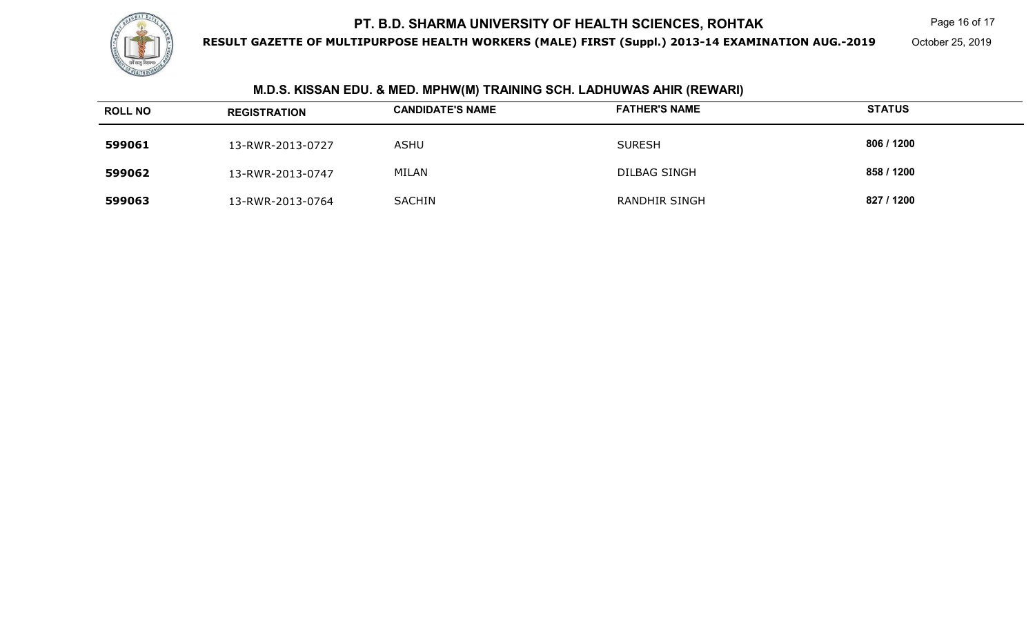

**RESULT GAZETTE OF MULTIPURPOSE HEALTH WORKERS (MALE) FIRST (Suppl.) 2013-14 EXAMINATION AUG.-2019**

Page 16 of 17

October 25, 2019

# **M.D.S. KISSAN EDU. & MED. MPHW(M) TRAINING SCH. LADHUWAS AHIR (REWARI)**

| <b>ROLL NO</b> | <b>REGISTRATION</b> | <b>CANDIDATE'S NAME</b> | <b>FATHER'S NAME</b> | <b>STATUS</b> |
|----------------|---------------------|-------------------------|----------------------|---------------|
| 599061         | 13-RWR-2013-0727    | <b>ASHU</b>             | <b>SURESH</b>        | 806 / 1200    |
| 599062         | 13-RWR-2013-0747    | MILAN                   | DILBAG SINGH         | 858 / 1200    |
| 599063         | 13-RWR-2013-0764    | <b>SACHIN</b>           | <b>RANDHIR SINGH</b> | 827 / 1200    |